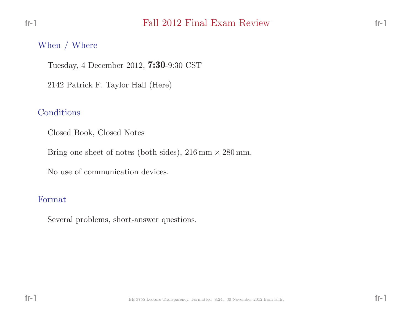## Fall <sup>2012</sup> Final Exam Review

#### When / Where

Tuesday, <sup>4</sup> December 2012, 7:30-9:30 CST

<sup>2142</sup> Patrick F. Taylor Hall (Here)

### Conditions

Closed Book, Closed Notes

Bring one sheet of notes (both sides),  $216 \text{ mm} \times 280 \text{ mm}$ .

No use of communication devices.

#### Format

Several problems, short-answer questions.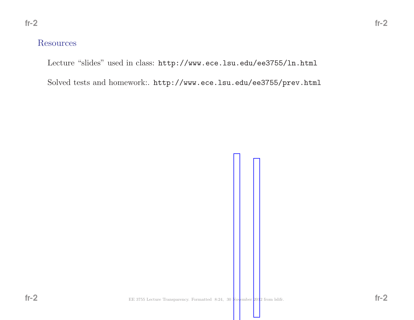## Resources

Lecture "slides" used in class: http://www.ece.lsu.edu/ee3755/ln.html

Solved tests and homework:. http://www.ece.lsu.edu/ee3755/prev.html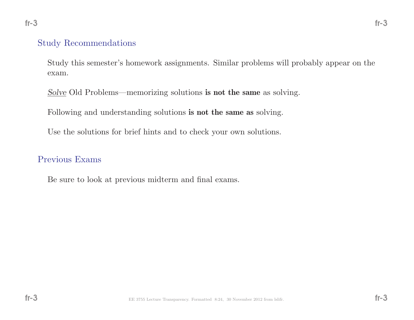### Study Recommendations

Study this semester's homework assignments. Similar problems will probably appear on theexam.

 $Solve$  Old Problems—memorizing solutions **is not the same** as solving.

Following and understanding solutions **is not the same as** solving.

Use the solutions for brief hints and to check your own solutions.

### Previous Exams

Be sure to look at previous midterm and final exams.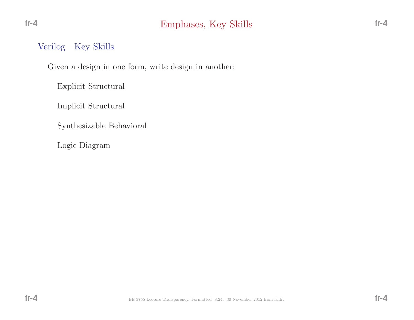## Verilog—Key Skills

 $fr-4$ 

Given <sup>a</sup> design in one form, write design in another:

Explicit Structural

Implicit Structural

Synthesizable Behavioral

Logic Diagram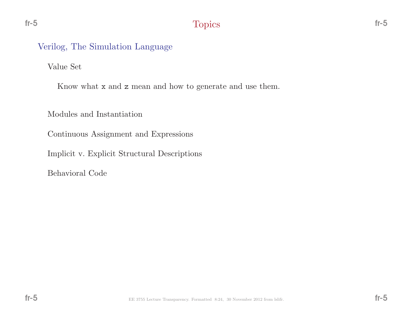# Verilog, The Simulation Language

Value Set

fr-5

Know what **x** and **z** mean and how to generate and use them.

Modules and Instantiation

Continuous Assignment and Expressions

Implicit v. Explicit Structural Descriptions

Behavioral Code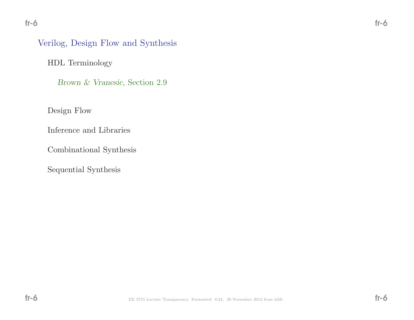# Verilog, Design Flow and Synthesis

HDL Terminology

Brown & Vranesic, Section 2.9

Design Flow

Inference and Libraries

Combinational Synthesis

Sequential Synthesis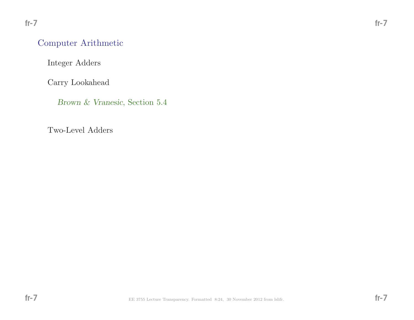# Computer Arithmetic

Integer Adders

Carry Lookahead

Brown & Vranesic, Section 5.4

Two-Level Adders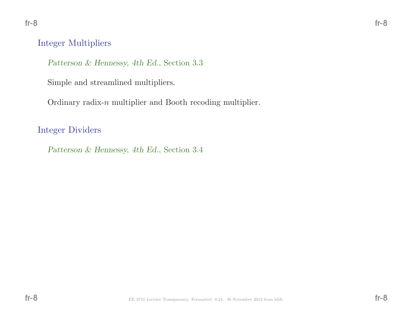## Integer Multipliers

Patterson & Hennessy, 4th Ed., Section 3.3

Simple and streamlined multipliers.

Ordinary radix-n multiplier and Booth recoding multiplier.

Integer Dividers

Patterson & Hennessy, 4th Ed., Section 3.4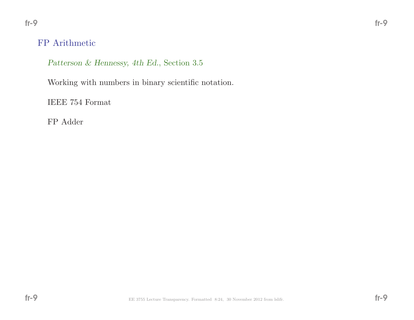# FP Arithmetic

Patterson & Hennessy, 4th Ed., Section 3.5

Working with numbers in binary scientific notation.

IEEE <sup>754</sup> Format

FP Adder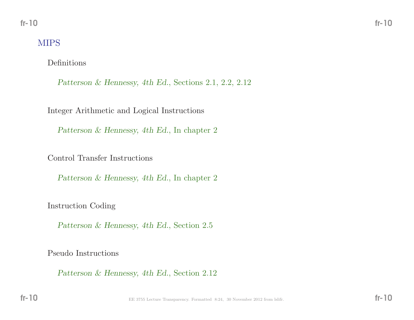# MIPS

Definitions

Patterson & Hennessy, 4th Ed., Sections 2.1, 2.2, 2.12

Integer Arithmetic and Logical Instructions

Patterson & Hennessy, 4th Ed., In chapter 2

Control Transfer Instructions

Patterson & Hennessy, 4th Ed., In chapter 2

Instruction Coding

Patterson & Hennessy, 4th Ed., Section 2.5

Pseudo Instructions

Patterson & Hennessy, 4th Ed., Section 2.12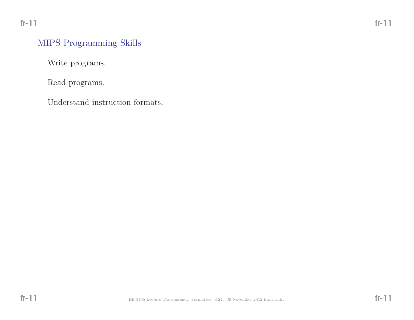Write programs.

Read programs.

Understand instruction formats.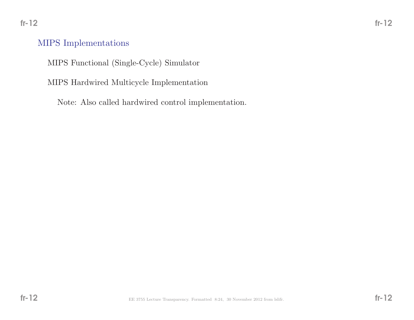## MIPS Implementations

MIPS Functional (Single-Cycle) Simulator

MIPS Hardwired Multicycle Implementation

Note: Also called hardwired control implementation.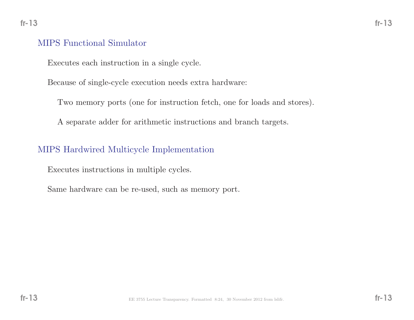## MIPS Functional Simulator

Executes each instruction in <sup>a</sup> single cycle.

Because of single-cycle execution needs extra hardware:

Two memory ports (one for instruction fetch, one for loads and stores).

<sup>A</sup> separate adder for arithmetic instructions and branch targets.

## MIPS Hardwired Multicycle Implementation

Executes instructions in multiple cycles.

Same hardware can be re-used, such as memory port.